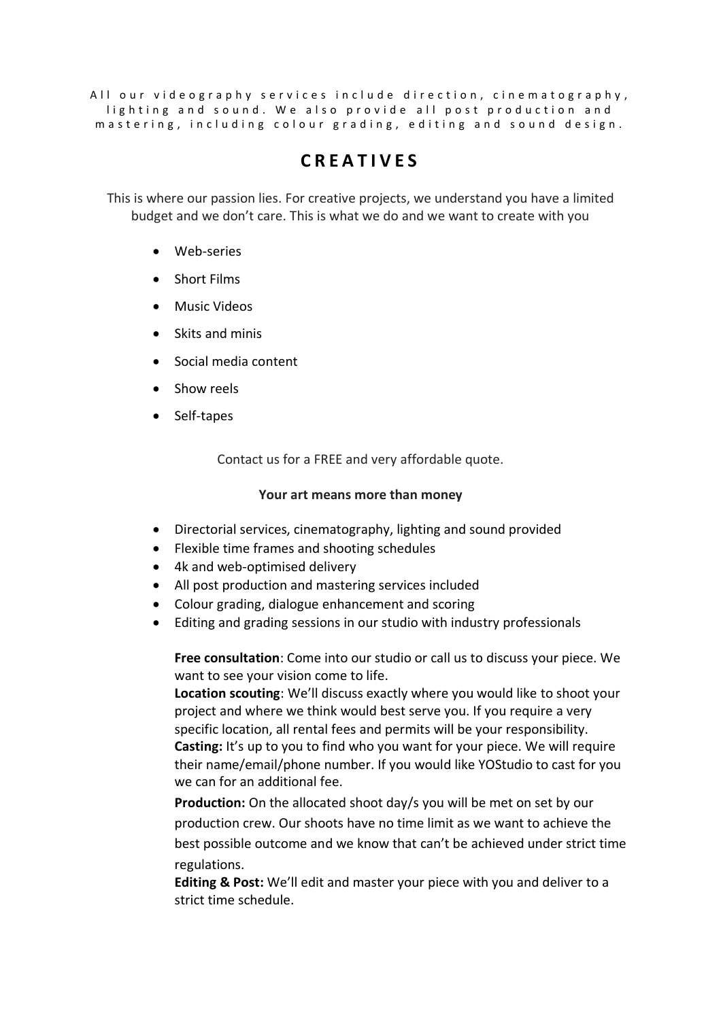All our videography services include direction, cinematography, lighting and sound. We also provide all post production and m a stering, in cluding colour grading, editing and sound design.

# **C R E A T I V E S**

This is where our passion lies. For creative projects, we understand you have a limited budget and we don't care. This is what we do and we want to create with you

- Web-series
- Short Films
- Music Videos
- Skits and minis
- Social media content
- Show reels
- Self-tapes

Contact us for a FREE and very affordable quote.

#### **Your art means more than money**

- Directorial services, cinematography, lighting and sound provided
- Flexible time frames and shooting schedules
- 4k and web-optimised delivery
- All post production and mastering services included
- Colour grading, dialogue enhancement and scoring
- Editing and grading sessions in our studio with industry professionals

**Free consultation**: Come into our studio or call us to discuss your piece. We want to see your vision come to life.

**Location scouting**: We'll discuss exactly where you would like to shoot your project and where we think would best serve you. If you require a very specific location, all rental fees and permits will be your responsibility. **Casting:** It's up to you to find who you want for your piece. We will require their name/email/phone number. If you would like YOStudio to cast for you we can for an additional fee.

**Production:** On the allocated shoot day/s you will be met on set by our production crew. Our shoots have no time limit as we want to achieve the best possible outcome and we know that can't be achieved under strict time regulations.

**Editing & Post:** We'll edit and master your piece with you and deliver to a strict time schedule.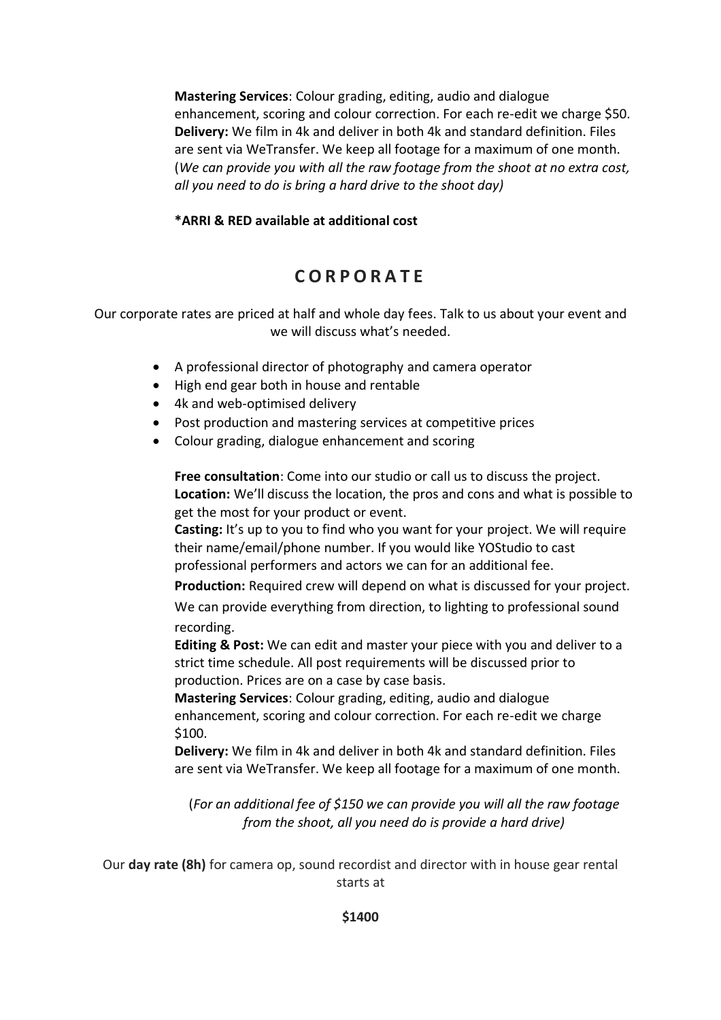**Mastering Services**: Colour grading, editing, audio and dialogue enhancement, scoring and colour correction. For each re-edit we charge \$50. **Delivery:** We film in 4k and deliver in both 4k and standard definition. Files are sent via WeTransfer. We keep all footage for a maximum of one month. (*We can provide you with all the raw footage from the shoot at no extra cost, all you need to do is bring a hard drive to the shoot day)*

### **\*ARRI & RED available at additional cost**

## **C O R P O R A T E**

Our corporate rates are priced at half and whole day fees. Talk to us about your event and we will discuss what's needed.

- A professional director of photography and camera operator
- High end gear both in house and rentable
- 4k and web-optimised delivery
- Post production and mastering services at competitive prices
- Colour grading, dialogue enhancement and scoring

**Free consultation**: Come into our studio or call us to discuss the project. **Location:** We'll discuss the location, the pros and cons and what is possible to get the most for your product or event.

**Casting:** It's up to you to find who you want for your project. We will require their name/email/phone number. If you would like YOStudio to cast professional performers and actors we can for an additional fee.

**Production:** Required crew will depend on what is discussed for your project.

We can provide everything from direction, to lighting to professional sound recording.

**Editing & Post:** We can edit and master your piece with you and deliver to a strict time schedule. All post requirements will be discussed prior to production. Prices are on a case by case basis.

**Mastering Services**: Colour grading, editing, audio and dialogue enhancement, scoring and colour correction. For each re-edit we charge \$100.

**Delivery:** We film in 4k and deliver in both 4k and standard definition. Files are sent via WeTransfer. We keep all footage for a maximum of one month.

(*For an additional fee of \$150 we can provide you will all the raw footage from the shoot, all you need do is provide a hard drive)*

Our **day rate (8h)** for camera op, sound recordist and director with in house gear rental starts at